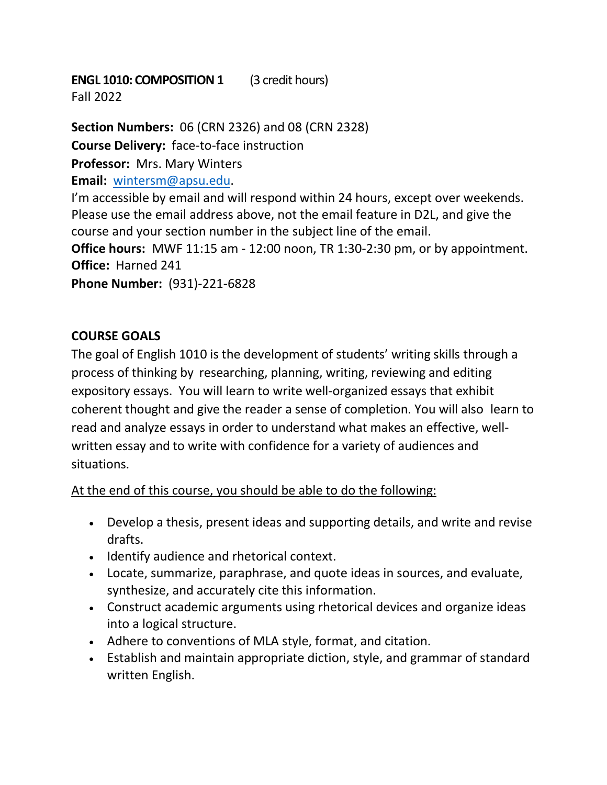# **ENGL 1010: COMPOSITION 1** (3 credit hours)

Fall 2022

**Section Numbers:** 06 (CRN 2326) and 08 (CRN 2328) **Course Delivery:** face-to-face instruction **Professor:** Mrs. Mary Winters **Email:** wintersm@apsu.edu. I'm accessible by email and will respond within 24 hours, except over weekends. Please use the email address above, not the email feature in D2L, and give the course and your section number in the subject line of the email. **Office hours:** MWF 11:15 am - 12:00 noon, TR 1:30-2:30 pm, or by appointment. **Office:** Harned 241 **Phone Number:** (931)-221-6828

# **COURSE GOALS**

The goal of English 1010 is the development of students' writing skills through a process of thinking by researching, planning, writing, reviewing and editing expository essays. You will learn to write well-organized essays that exhibit coherent thought and give the reader a sense of completion. You will also learn to read and analyze essays in order to understand what makes an effective, wellwritten essay and to write with confidence for a variety of audiences and situations.

At the end of this course, you should be able to do the following:

- Develop a thesis, present ideas and supporting details, and write and revise drafts.
- Identify audience and rhetorical context.
- Locate, summarize, paraphrase, and quote ideas in sources, and evaluate, synthesize, and accurately cite this information.
- Construct academic arguments using rhetorical devices and organize ideas into a logical structure.
- Adhere to conventions of MLA style, format, and citation.
- Establish and maintain appropriate diction, style, and grammar of standard written English.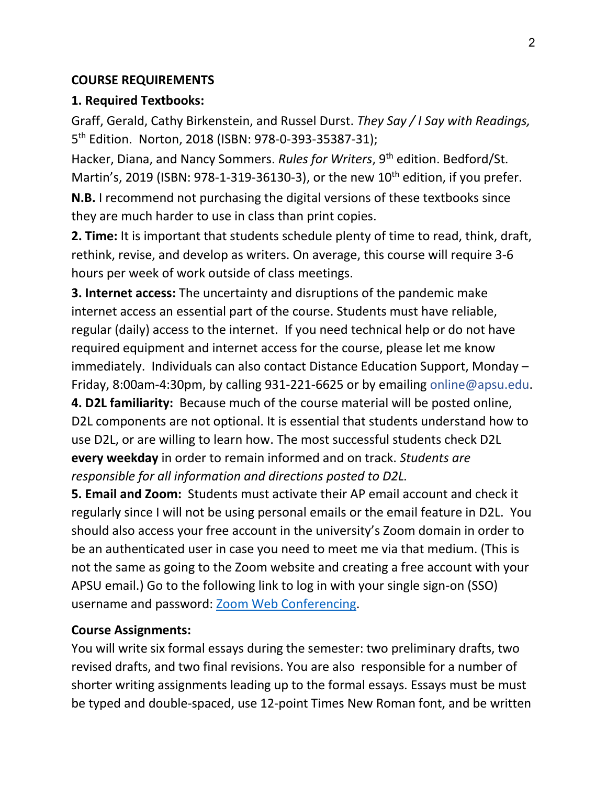#### **COURSE REQUIREMENTS**

## **1. Required Textbooks:**

Graff, Gerald, Cathy Birkenstein, and Russel Durst. *They Say / I Say with Readings,* 5th Edition. Norton, 2018 (ISBN: 978-0-393-35387-31);

Hacker, Diana, and Nancy Sommers. *Rules for Writers*, 9<sup>th</sup> edition. Bedford/St. Martin's, 2019 (ISBN: 978-1-319-36130-3), or the new  $10^{th}$  edition, if you prefer.

**N.B.** I recommend not purchasing the digital versions of these textbooks since they are much harder to use in class than print copies.

**2. Time:** It is important that students schedule plenty of time to read, think, draft, rethink, revise, and develop as writers. On average, this course will require 3-6 hours per week of work outside of class meetings.

**3. Internet access:** The uncertainty and disruptions of the pandemic make internet access an essential part of the course. Students must have reliable, regular (daily) access to the internet. If you need technical help or do not have required equipment and internet access for the course, please let me know immediately. Individuals can also contact Distance Education Support, Monday – Friday, 8:00am-4:30pm, by calling 931-221-6625 or by emailing online@apsu.edu.

**4. D2L familiarity:** Because much of the course material will be posted online, D2L components are not optional. It is essential that students understand how to use D2L, or are willing to learn how. The most successful students check D2L **every weekday** in order to remain informed and on track. *Students are responsible for all information and directions posted to D2L.* 

**5. Email and Zoom:** Students must activate their AP email account and check it regularly since I will not be using personal emails or the email feature in D2L. You should also access your free account in the university's Zoom domain in order to be an authenticated user in case you need to meet me via that medium. (This is not the same as going to the Zoom website and creating a free account with your APSU email.) Go to the following link to log in with your single sign-on (SSO) username and password: Zoom Web Conferencing.

## **Course Assignments:**

You will write six formal essays during the semester: two preliminary drafts, two revised drafts, and two final revisions. You are also responsible for a number of shorter writing assignments leading up to the formal essays. Essays must be must be typed and double-spaced, use 12-point Times New Roman font, and be written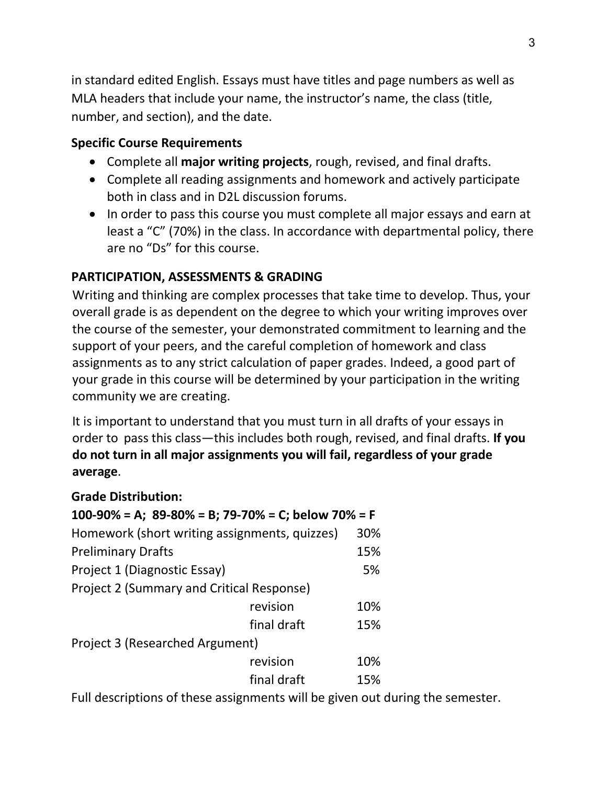in standard edited English. Essays must have titles and page numbers as well as MLA headers that include your name, the instructor's name, the class (title, number, and section), and the date.

# **Specific Course Requirements**

- Complete all **major writing projects**, rough, revised, and final drafts.
- Complete all reading assignments and homework and actively participate both in class and in D2L discussion forums.
- In order to pass this course you must complete all major essays and earn at least a "C" (70%) in the class. In accordance with departmental policy, there are no "Ds" for this course.

# **PARTICIPATION, ASSESSMENTS & GRADING**

Writing and thinking are complex processes that take time to develop. Thus, your overall grade is as dependent on the degree to which your writing improves over the course of the semester, your demonstrated commitment to learning and the support of your peers, and the careful completion of homework and class assignments as to any strict calculation of paper grades. Indeed, a good part of your grade in this course will be determined by your participation in the writing community we are creating.

It is important to understand that you must turn in all drafts of your essays in order to pass this class—this includes both rough, revised, and final drafts. **If you do not turn in all major assignments you will fail, regardless of your grade average**.

# **Grade Distribution:**

| 100-90% = A; $89-80%$ = B; 79-70% = C; below 70% = F |             |     |
|------------------------------------------------------|-------------|-----|
| Homework (short writing assignments, quizzes)        |             | 30% |
| <b>Preliminary Drafts</b>                            |             | 15% |
| Project 1 (Diagnostic Essay)                         |             | 5%  |
| Project 2 (Summary and Critical Response)            |             |     |
|                                                      | revision    | 10% |
|                                                      | final draft | 15% |
| Project 3 (Researched Argument)                      |             |     |
|                                                      | revision    | 10% |
|                                                      | final draft | 15% |

Full descriptions of these assignments will be given out during the semester.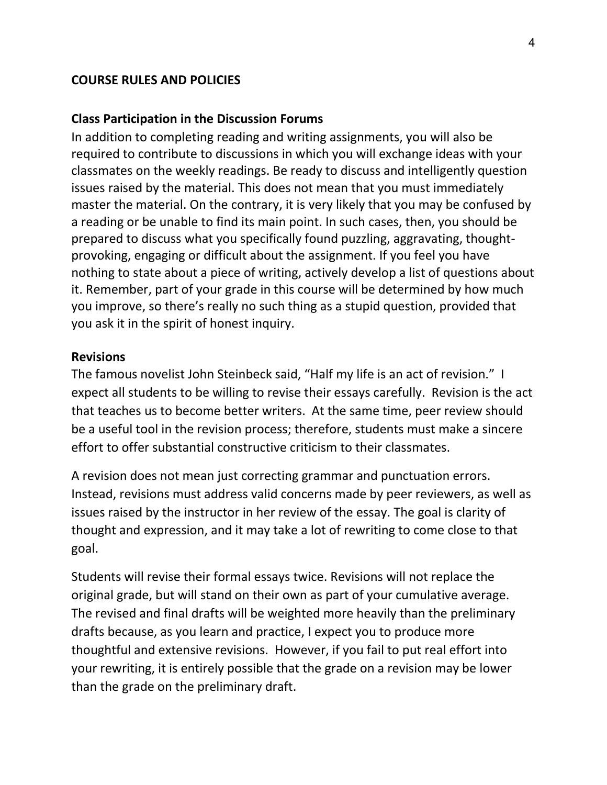#### **COURSE RULES AND POLICIES**

#### **Class Participation in the Discussion Forums**

In addition to completing reading and writing assignments, you will also be required to contribute to discussions in which you will exchange ideas with your classmates on the weekly readings. Be ready to discuss and intelligently question issues raised by the material. This does not mean that you must immediately master the material. On the contrary, it is very likely that you may be confused by a reading or be unable to find its main point. In such cases, then, you should be prepared to discuss what you specifically found puzzling, aggravating, thoughtprovoking, engaging or difficult about the assignment. If you feel you have nothing to state about a piece of writing, actively develop a list of questions about it. Remember, part of your grade in this course will be determined by how much you improve, so there's really no such thing as a stupid question, provided that you ask it in the spirit of honest inquiry.

#### **Revisions**

The famous novelist John Steinbeck said, "Half my life is an act of revision." I expect all students to be willing to revise their essays carefully. Revision is the act that teaches us to become better writers. At the same time, peer review should be a useful tool in the revision process; therefore, students must make a sincere effort to offer substantial constructive criticism to their classmates.

A revision does not mean just correcting grammar and punctuation errors. Instead, revisions must address valid concerns made by peer reviewers, as well as issues raised by the instructor in her review of the essay. The goal is clarity of thought and expression, and it may take a lot of rewriting to come close to that goal.

Students will revise their formal essays twice. Revisions will not replace the original grade, but will stand on their own as part of your cumulative average. The revised and final drafts will be weighted more heavily than the preliminary drafts because, as you learn and practice, I expect you to produce more thoughtful and extensive revisions. However, if you fail to put real effort into your rewriting, it is entirely possible that the grade on a revision may be lower than the grade on the preliminary draft.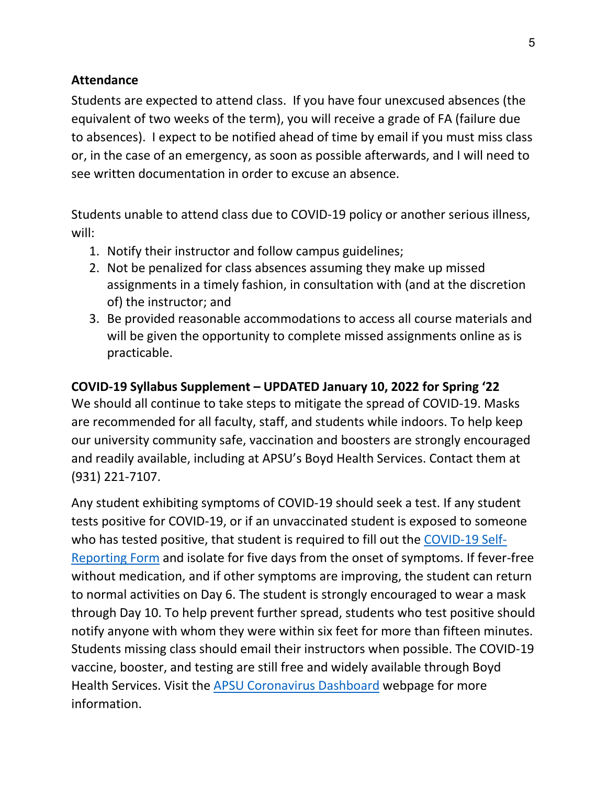## **Attendance**

Students are expected to attend class. If you have four unexcused absences (the equivalent of two weeks of the term), you will receive a grade of FA (failure due to absences). I expect to be notified ahead of time by email if you must miss class or, in the case of an emergency, as soon as possible afterwards, and I will need to see written documentation in order to excuse an absence.

Students unable to attend class due to COVID-19 policy or another serious illness, will:

- 1. Notify their instructor and follow campus guidelines;
- 2. Not be penalized for class absences assuming they make up missed assignments in a timely fashion, in consultation with (and at the discretion of) the instructor; and
- 3. Be provided reasonable accommodations to access all course materials and will be given the opportunity to complete missed assignments online as is practicable.

# **COVID-19 Syllabus Supplement – UPDATED January 10, 2022 for Spring '22**

We should all continue to take steps to mitigate the spread of COVID-19. Masks are recommended for all faculty, staff, and students while indoors. To help keep our university community safe, vaccination and boosters are strongly encouraged and readily available, including at APSU's Boyd Health Services. Contact them at (931) 221-7107.

Any student exhibiting symptoms of COVID-19 should seek a test. If any student tests positive for COVID-19, or if an unvaccinated student is exposed to someone who has tested positive, that student is required to fill out the COVID-19 Self-Reporting Form and isolate for five days from the onset of symptoms. If fever-free without medication, and if other symptoms are improving, the student can return to normal activities on Day 6. The student is strongly encouraged to wear a mask through Day 10. To help prevent further spread, students who test positive should notify anyone with whom they were within six feet for more than fifteen minutes. Students missing class should email their instructors when possible. The COVID-19 vaccine, booster, and testing are still free and widely available through Boyd Health Services. Visit the APSU Coronavirus Dashboard webpage for more information.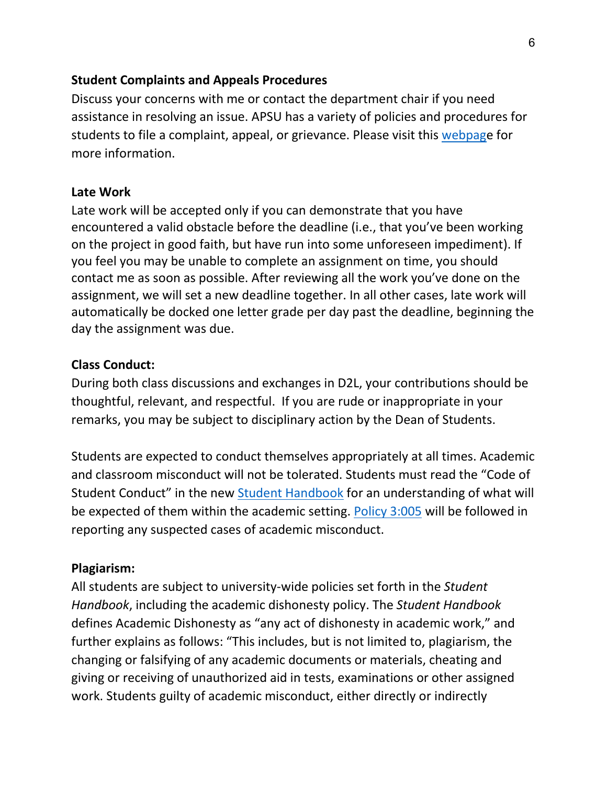#### **Student Complaints and Appeals Procedures**

Discuss your concerns with me or contact the department chair if you need assistance in resolving an issue. APSU has a variety of policies and procedures for students to file a complaint, appeal, or grievance. Please visit this webpage for more information.

#### **Late Work**

Late work will be accepted only if you can demonstrate that you have encountered a valid obstacle before the deadline (i.e., that you've been working on the project in good faith, but have run into some unforeseen impediment). If you feel you may be unable to complete an assignment on time, you should contact me as soon as possible. After reviewing all the work you've done on the assignment, we will set a new deadline together. In all other cases, late work will automatically be docked one letter grade per day past the deadline, beginning the day the assignment was due.

## **Class Conduct:**

During both class discussions and exchanges in D2L, your contributions should be thoughtful, relevant, and respectful. If you are rude or inappropriate in your remarks, you may be subject to disciplinary action by the Dean of Students.

Students are expected to conduct themselves appropriately at all times. Academic and classroom misconduct will not be tolerated. Students must read the "Code of Student Conduct" in the new Student Handbook for an understanding of what will be expected of them within the academic setting. Policy 3:005 will be followed in reporting any suspected cases of academic misconduct.

## **Plagiarism:**

All students are subject to university-wide policies set forth in the *Student Handbook*, including the academic dishonesty policy. The *Student Handbook* defines Academic Dishonesty as "any act of dishonesty in academic work," and further explains as follows: "This includes, but is not limited to, plagiarism, the changing or falsifying of any academic documents or materials, cheating and giving or receiving of unauthorized aid in tests, examinations or other assigned work. Students guilty of academic misconduct, either directly or indirectly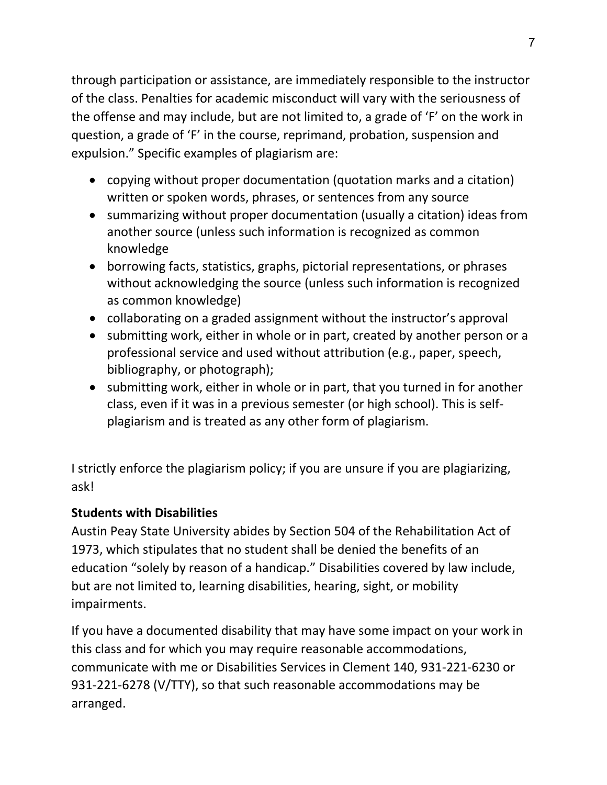through participation or assistance, are immediately responsible to the instructor of the class. Penalties for academic misconduct will vary with the seriousness of the offense and may include, but are not limited to, a grade of 'F' on the work in question, a grade of 'F' in the course, reprimand, probation, suspension and expulsion." Specific examples of plagiarism are:

- copying without proper documentation (quotation marks and a citation) written or spoken words, phrases, or sentences from any source
- summarizing without proper documentation (usually a citation) ideas from another source (unless such information is recognized as common knowledge
- borrowing facts, statistics, graphs, pictorial representations, or phrases without acknowledging the source (unless such information is recognized as common knowledge)
- collaborating on a graded assignment without the instructor's approval
- submitting work, either in whole or in part, created by another person or a professional service and used without attribution (e.g., paper, speech, bibliography, or photograph);
- submitting work, either in whole or in part, that you turned in for another class, even if it was in a previous semester (or high school). This is selfplagiarism and is treated as any other form of plagiarism.

I strictly enforce the plagiarism policy; if you are unsure if you are plagiarizing, ask!

# **Students with Disabilities**

Austin Peay State University abides by Section 504 of the Rehabilitation Act of 1973, which stipulates that no student shall be denied the benefits of an education "solely by reason of a handicap." Disabilities covered by law include, but are not limited to, learning disabilities, hearing, sight, or mobility impairments.

If you have a documented disability that may have some impact on your work in this class and for which you may require reasonable accommodations, communicate with me or Disabilities Services in Clement 140, 931-221-6230 or 931-221-6278 (V/TTY), so that such reasonable accommodations may be arranged.